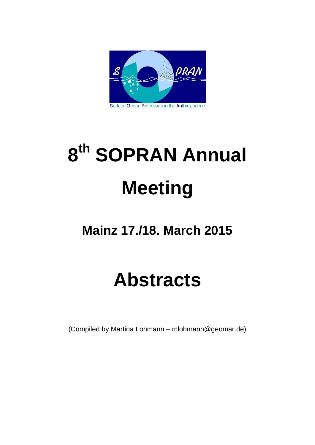

# **8th SOPRAN Annual Meeting**

## **Mainz 17./18. March 2015**

## **Abstracts**

(Compiled by Martina Lohmann – mlohmann@geomar.de)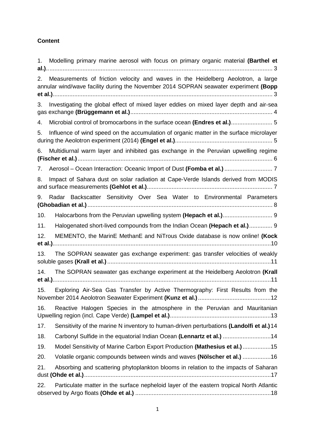#### **Content**

| Modelling primary marine aerosol with focus on primary organic material (Barthel et<br>1.                                                                                      |
|--------------------------------------------------------------------------------------------------------------------------------------------------------------------------------|
| Measurements of friction velocity and waves in the Heidelberg Aeolotron, a large<br>2.<br>annular wind/wave facility during the November 2014 SOPRAN seawater experiment (Bopp |
| Investigating the global effect of mixed layer eddies on mixed layer depth and air-sea<br>3.                                                                                   |
| Microbial control of bromocarbons in the surface ocean (Endres et al.) 5<br>4.                                                                                                 |
| Influence of wind speed on the accumulation of organic matter in the surface microlayer<br>5.                                                                                  |
| Multidiurnal warm layer and inhibited gas exchange in the Peruvian upwelling regime<br>6.                                                                                      |
| 7.                                                                                                                                                                             |
| Impact of Sahara dust on solar radiation at Cape-Verde Islands derived from MODIS<br>8.                                                                                        |
| Radar Backscatter Sensitivity Over Sea Water to Environmental Parameters<br>9.                                                                                                 |
| 10.                                                                                                                                                                            |
| Halogenated short-lived compounds from the Indian Ocean (Hepach et al.) 9<br>11.                                                                                               |
| 12.<br>MEMENTO, the MarinE MethanE and NiTrous Oxide database is now online! (Kock                                                                                             |
| The SOPRAN seawater gas exchange experiment: gas transfer velocities of weakly<br>13.                                                                                          |
| The SOPRAN seawater gas exchange experiment at the Heidelberg Aeolotron (Krall<br>14.                                                                                          |
| Exploring Air-Sea Gas Transfer by Active Thermography: First Results from the<br>15.                                                                                           |
| Reactive Halogen Species in the atmosphere in the Peruvian and Mauritanian<br>16.                                                                                              |
| 17.<br>Sensitivity of the marine N inventory to human-driven perturbations (Landolfi et al.) 14                                                                                |
| Carbonyl Sulfide in the equatorial Indian Ocean (Lennartz et al.) 14<br>18.                                                                                                    |
| Model Sensitivity of Marine Carbon Export Production (Mathesius et al.) 15<br>19.                                                                                              |
| Volatile organic compounds between winds and waves (Nölscher et al.) 16<br>20.                                                                                                 |
| 21.<br>Absorbing and scattering phytoplankton blooms in relation to the impacts of Saharan                                                                                     |
| Particulate matter in the surface nepheloid layer of the eastern tropical North Atlantic<br>22.                                                                                |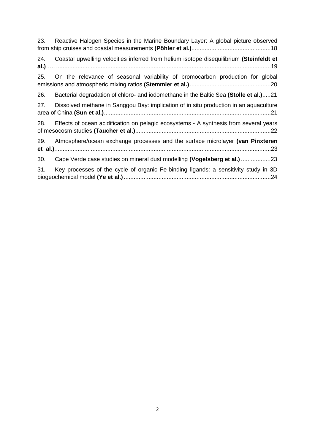| 23. | Reactive Halogen Species in the Marine Boundary Layer: A global picture observed        |
|-----|-----------------------------------------------------------------------------------------|
| 24. | Coastal upwelling velocities inferred from helium isotope disequilibrium (Steinfeldt et |
| 25. | On the relevance of seasonal variability of bromocarbon production for global           |
| 26. | Bacterial degradation of chloro- and iodomethane in the Baltic Sea (Stolle et al.)21    |
| 27. | Dissolved methane in Sanggou Bay: implication of in situ production in an aquaculture   |
| 28. | Effects of ocean acidification on pelagic ecosystems - A synthesis from several years   |
| 29. | Atmosphere/ocean exchange processes and the surface microlayer (van Pinxteren           |
| 30. | Cape Verde case studies on mineral dust modelling (Vogelsberg et al.) 23                |
| 31. | Key processes of the cycle of organic Fe-binding ligands: a sensitivity study in 3D     |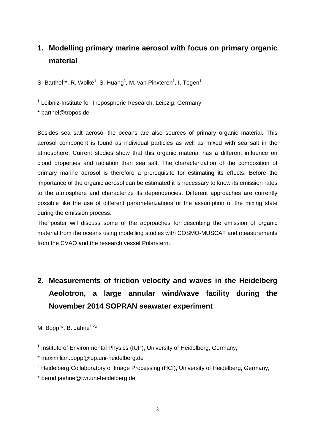#### <span id="page-3-0"></span>**1. Modelling primary marine aerosol with focus on primary organic material**

S. Barthel<sup>1\*</sup>, R. Wolke<sup>1</sup>, S. Huang<sup>1</sup>, M. van Pinxteren<sup>1</sup>, I. Tegen<sup>1</sup>

<sup>1</sup> Leibniz-Institute for Tropospheric Research, Leipzig, Germany

\* barthel@tropos.de

Besides sea salt aerosol the oceans are also sources of primary organic material. This aerosol component is found as individual particles as well as mixed with sea salt in the atmosphere. Current studies show that this organic material has a different influence on cloud properties and radiation than sea salt. The characterization of the composition of primary marine aerosol is therefore a prerequisite for estimating its effects. Before the importance of the organic aerosol can be estimated it is necessary to know its emission rates to the atmosphere and characterize its dependencies. Different approaches are currently possible like the use of different parameterizations or the assumption of the mixing state during the emission process.

The poster will discuss some of the approaches for describing the emission of organic material from the oceans using modelling studies with COSMO-MUSCAT and measurements from the CVAO and the research vessel Polarstern.

## <span id="page-3-1"></span>**2. Measurements of friction velocity and waves in the Heidelberg Aeolotron, a large annular wind/wave facility during the November 2014 SOPRAN seawater experiment**

M. Bopp<sup>1\*</sup>, B. Jähne<sup>1,2\*</sup>

<sup>1</sup> Institute of Environmental Physics (IUP), University of Heidelberg, Germany,

\* maximilian.bopp@iup.uni-heidelberg.de

 $2$  Heidelberg Collaboratory of Image Processing (HCI), University of Heidelberg, Germany,

\* bernd.jaehne@iwr.uni-heidelberg.de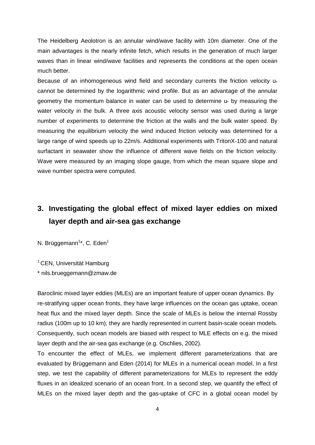The Heidelberg Aeolotron is an annular wind/wave facility with 10m diameter. One of the main advantages is the nearly infinite fetch, which results in the generation of much larger waves than in linear wind/wave facilities and represents the conditions at the open ocean much better.

Because of an inhomogeneous wind field and secondary currents the friction velocity u cannot be determined by the logarithmic wind profile. But as an advantage of the annular geometry the momentum balance in water can be used to determine u\* by measuring the water velocity in the bulk. A three axis acoustic velocity sensor was used during a large number of experiments to determine the friction at the walls and the bulk water speed. By measuring the equilibrium velocity the wind induced friction velocity was determined for a large range of wind speeds up to 22m/s. Additional experiments with TritonX-100 and natural surfactant in seawater show the influence of different wave fields on the friction velocity. Wave were measured by an imaging slope gauge, from which the mean square slope and wave number spectra were computed.

#### <span id="page-4-0"></span>**3. Investigating the global effect of mixed layer eddies on mixed layer depth and air-sea gas exchange**

N. Brüggemann<sup>1\*</sup>, C. Eden<sup>1</sup>

<sup>1</sup> CEN, Universität Hamburg

\* nils.brueggemann@zmaw.de

Baroclinic mixed layer eddies (MLEs) are an important feature of upper ocean dynamics. By re-stratifying upper ocean fronts, they have large influences on the ocean gas uptake, ocean heat flux and the mixed layer depth. Since the scale of MLEs is below the internal Rossby radius (100m up to 10 km), they are hardly represented in current basin-scale ocean models. Consequently, such ocean models are biased with respect to MLE effects on e.g. the mixed layer depth and the air-sea gas exchange (e.g. Oschlies, 2002).

To encounter the effect of MLEs, we implement different parameterizations that are evaluated by Brüggemann and Eden (2014) for MLEs in a numerical ocean model. In a first step, we test the capability of different parameterizations for MLEs to represent the eddy fluxes in an idealized scenario of an ocean front. In a second step, we quantify the effect of MLEs on the mixed layer depth and the gas-uptake of CFC in a global ocean model by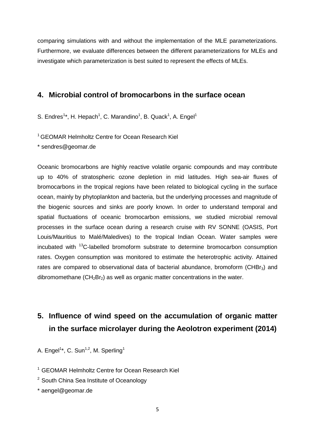comparing simulations with and without the implementation of the MLE parameterizations. Furthermore, we evaluate differences between the different parameterizations for MLEs and investigate which parameterization is best suited to represent the effects of MLEs.

#### <span id="page-5-0"></span>**4. Microbial control of bromocarbons in the surface ocean**

S. Endres<sup>1\*</sup>, H. Hepach<sup>1</sup>, C. Marandino<sup>1</sup>, B. Quack<sup>1</sup>, A. Engel<sup>1</sup>

<sup>1</sup> GEOMAR Helmholtz Centre for Ocean Research Kiel

\* sendres@geomar.de

Oceanic bromocarbons are highly reactive volatile organic compounds and may contribute up to 40% of stratospheric ozone depletion in mid latitudes. High sea-air fluxes of bromocarbons in the tropical regions have been related to biological cycling in the surface ocean, mainly by phytoplankton and bacteria, but the underlying processes and magnitude of the biogenic sources and sinks are poorly known. In order to understand temporal and spatial fluctuations of oceanic bromocarbon emissions, we studied microbial removal processes in the surface ocean during a research cruise with RV SONNE (OASIS, Port Louis/Mauritius to Malé/Maledives) to the tropical Indian Ocean. Water samples were incubated with 13C-labelled bromoform substrate to determine bromocarbon consumption rates. Oxygen consumption was monitored to estimate the heterotrophic activity. Attained rates are compared to observational data of bacterial abundance, bromoform (CHB $r_3$ ) and dibromomethane  $(CH_2Br_2)$  as well as organic matter concentrations in the water.

## <span id="page-5-1"></span>**5. Influence of wind speed on the accumulation of organic matter in the surface microlayer during the Aeolotron experiment (2014)**

A. Engel<sup>1\*</sup>, C. Sun<sup>1,2</sup>, M. Sperling<sup>1</sup>

<sup>1</sup> GEOMAR Helmholtz Centre for Ocean Research Kiel

- <sup>2</sup> South China Sea Institute of Oceanology
- \* aengel@geomar.de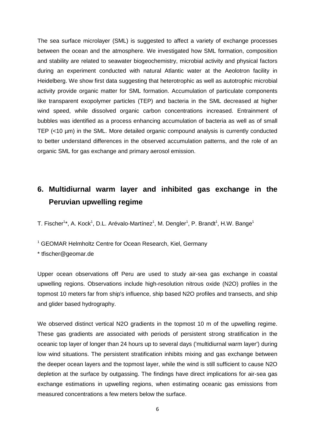The sea surface microlayer (SML) is suggested to affect a variety of exchange processes between the ocean and the atmosphere. We investigated how SML formation, composition and stability are related to seawater biogeochemistry, microbial activity and physical factors during an experiment conducted with natural Atlantic water at the Aeolotron facility in Heidelberg. We show first data suggesting that heterotrophic as well as autotrophic microbial activity provide organic matter for SML formation. Accumulation of particulate components like transparent exopolymer particles (TEP) and bacteria in the SML decreased at higher wind speed, while dissolved organic carbon concentrations increased. Entrainment of bubbles was identified as a process enhancing accumulation of bacteria as well as of small TEP (<10 µm) in the SML. More detailed organic compound analysis is currently conducted to better understand differences in the observed accumulation patterns, and the role of an organic SML for gas exchange and primary aerosol emission.

### <span id="page-6-0"></span>**6. Multidiurnal warm layer and inhibited gas exchange in the Peruvian upwelling regime**

T. Fischer<sup>1\*</sup>, A. Kock<sup>1</sup>, D.L. Arévalo-Martínez<sup>1</sup>, M. Dengler<sup>1</sup>, P. Brandt<sup>1</sup>, H.W. Bange<sup>1</sup>

<sup>1</sup> GEOMAR Helmholtz Centre for Ocean Research, Kiel, Germany

\* tfischer@geomar.de

Upper ocean observations off Peru are used to study air-sea gas exchange in coastal upwelling regions. Observations include high-resolution nitrous oxide (N2O) profiles in the topmost 10 meters far from ship's influence, ship based N2O profiles and transects, and ship and glider based hydrography.

We observed distinct vertical N2O gradients in the topmost 10 m of the upwelling regime. These gas gradients are associated with periods of persistent strong stratification in the oceanic top layer of longer than 24 hours up to several days ('multidiurnal warm layer') during low wind situations. The persistent stratification inhibits mixing and gas exchange between the deeper ocean layers and the topmost layer, while the wind is still sufficient to cause N2O depletion at the surface by outgassing. The findings have direct implications for air-sea gas exchange estimations in upwelling regions, when estimating oceanic gas emissions from measured concentrations a few meters below the surface.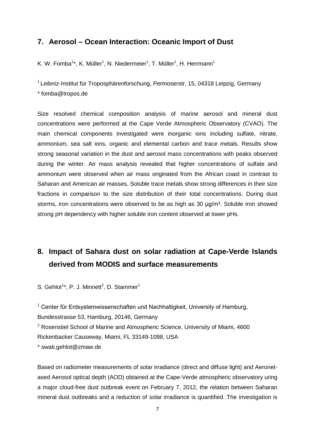#### <span id="page-7-0"></span>**7. Aerosol – Ocean Interaction: Oceanic Import of Dust**

K. W. Fomba<sup>1\*</sup>, K. Müller<sup>1</sup>, N. Niedermeier<sup>1</sup>, T. Müller<sup>1</sup>, H. Herrmann<sup>1</sup>

<sup>1</sup> Leibniz-Institut für Troposphärenforschung, Permoserstr. 15, 04318 Leipzig, Germany \* fomba@tropos.de

Size resolved chemical composition analysis of marine aerosol and mineral dust concentrations were performed at the Cape Verde Atmospheric Observatory (CVAO). The main chemical components investigated were inorganic ions including sulfate, nitrate, ammonium, sea salt ions, organic and elemental carbon and trace metals. Results show strong seasonal variation in the dust and aerosol mass concentrations with peaks observed during the winter. Air mass analysis revealed that higher concentrations of sulfate and ammonium were observed when air mass originated from the African coast in contrast to Saharan and American air masses. Soluble trace metals show strong differences in their size fractions in comparison to the size distribution of their total concentrations. During dust storms, iron concentrations were observed to be as high as 30  $\mu$ g/m<sup>3</sup>. Soluble iron showed strong pH dependency with higher soluble iron content observed at lower pHs.

#### <span id="page-7-1"></span>**8. Impact of Sahara dust on solar radiation at Cape-Verde Islands derived from MODIS and surface measurements**

S. Gehlot<sup>1\*</sup>, P. J. Minnett<sup>2</sup>, D. Stammer<sup>1</sup>

 $1$  Center für Erdsystemwissenschaften und Nachhaltigkeit, University of Hamburg, Bundesstrasse 53, Hamburg, 20146, Germany

<sup>2</sup> Rosenstiel School of Marine and Atmospheric Science, University of Miami, 4600 Rickenbacker Causeway, Miami, FL 33149-1098, USA

\* swati.gehlot@zmaw.de

Based on radiometer measurements of solar irradiance (direct and diffuse light) and Aeronetased Aerosol optical depth (AOD) obtained at the Cape-Verde atmospheric observatory uring a major cloud-free dust outbreak event on February 7, 2012, the relation between Saharan mineral dust outbreaks and a reduction of solar irradiance is quantified. The investigation is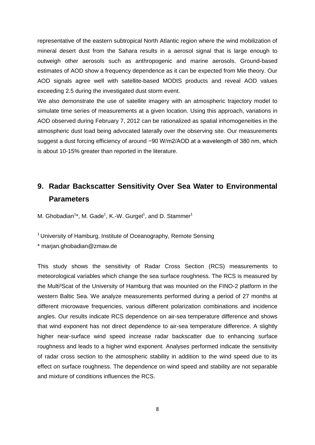representative of the eastern subtropical North Atlantic region where the wind mobilization of mineral desert dust from the Sahara results in a aerosol signal that is large enough to outweigh other aerosols such as anthropogenic and marine aerosols. Ground-based estimates of AOD show a frequency dependence as it can be expected from Mie theory. Our AOD signals agree well with satellite-based MODIS products and reveal AOD values exceeding 2.5 during the investigated dust storm event.

We also demonstrate the use of satellite imagery with an atmospheric trajectory model to simulate time series of measurements at a given location. Using this approach, variations in AOD observed during February 7, 2012 can be rationalized as spatial inhomogeneities in the atmospheric dust load being advocated laterally over the observing site. Our measurements suggest a dust forcing efficiency of around −90 W/m2/AOD at a wavelength of 380 nm, which is about 10-15% greater than reported in the literature.

#### <span id="page-8-0"></span>**9. Radar Backscatter Sensitivity Over Sea Water to Environmental Parameters**

M. Ghobadian<sup>1\*</sup>, M. Gade<sup>1</sup>, K.-W. Gurgel<sup>1</sup>, and D. Stammer<sup>1</sup>

<sup>1</sup> University of Hamburg, Institute of Oceanography, Remote Sensing

\* marjan.ghobadian@zmaw.de

This study shows the sensitivity of Radar Cross Section (RCS) measurements to meteorological variables which change the sea surface roughness. The RCS is measured by the Multi<sup>3</sup>Scat of the University of Hamburg that was mounted on the FINO-2 platform in the western Baltic Sea. We analyze measurements performed during a period of 27 months at different microwave frequencies, various different polarization combinations and incidence angles. Our results indicate RCS dependence on air-sea temperature difference and shows that wind exponent has not direct dependence to air-sea temperature difference. A slightly higher near-surface wind speed increase radar backscatter due to enhancing surface roughness and leads to a higher wind exponent. Analyses performed indicate the sensitivity of radar cross section to the atmospheric stability in addition to the wind speed due to its effect on surface roughness. The dependence on wind speed and stability are not separable and mixture of conditions influences the RCS.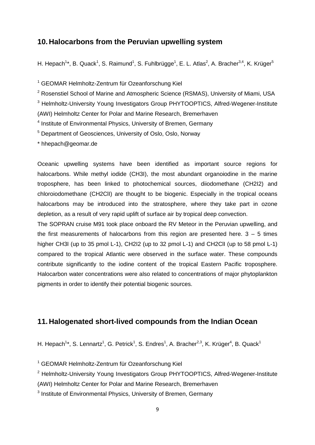#### <span id="page-9-0"></span>**10. Halocarbons from the Peruvian upwelling system**

H. Hepach<sup>1</sup>\*, B. Quack<sup>1</sup>, S. Raimund<sup>1</sup>, S. Fuhlbrügge<sup>1</sup>, E. L. Atlas<sup>2</sup>, A. Bracher<sup>3,4</sup>, K. Krüger<sup>5</sup>

<sup>1</sup> GEOMAR Helmholtz-Zentrum für Ozeanforschung Kiel

<sup>2</sup> Rosenstiel School of Marine and Atmospheric Science (RSMAS), University of Miami, USA

<sup>3</sup> Helmholtz-University Young Investigators Group PHYTOOPTICS, Alfred-Wegener-Institute

(AWI) Helmholtz Center for Polar and Marine Research, Bremerhaven

<sup>4</sup> Institute of Environmental Physics, University of Bremen, Germany

<sup>5</sup> Department of Geosciences, University of Oslo, Oslo, Norway

\* hhepach@geomar.de

Oceanic upwelling systems have been identified as important source regions for halocarbons. While methyl iodide (CH3I), the most abundant organoiodine in the marine troposphere, has been linked to photochemical sources, diiodomethane (CH2I2) and chloroiodomethane (CH2ClI) are thought to be biogenic. Especially in the tropical oceans halocarbons may be introduced into the stratosphere, where they take part in ozone depletion, as a result of very rapid uplift of surface air by tropical deep convection.

The SOPRAN cruise M91 took place onboard the RV Meteor in the Peruvian upwelling, and the first measurements of halocarbons from this region are presented here.  $3 - 5$  times higher CH3I (up to 35 pmol L-1), CH2I2 (up to 32 pmol L-1) and CH2CII (up to 58 pmol L-1) compared to the tropical Atlantic were observed in the surface water. These compounds contribute significantly to the iodine content of the tropical Eastern Pacific troposphere. Halocarbon water concentrations were also related to concentrations of major phytoplankton pigments in order to identify their potential biogenic sources.

#### <span id="page-9-1"></span>**11. Halogenated short-lived compounds from the Indian Ocean**

H. Hepach<sup>1\*</sup>, S. Lennartz<sup>1</sup>, G. Petrick<sup>1</sup>, S. Endres<sup>1</sup>, A. Bracher<sup>2,3</sup>, K. Krüger<sup>4</sup>, B. Quack<sup>1</sup>

<sup>1</sup> GEOMAR Helmholtz-Zentrum für Ozeanforschung Kiel

<sup>2</sup> Helmholtz-University Young Investigators Group PHYTOOPTICS, Alfred-Wegener-Institute

(AWI) Helmholtz Center for Polar and Marine Research, Bremerhaven

<sup>3</sup> Institute of Environmental Physics, University of Bremen, Germany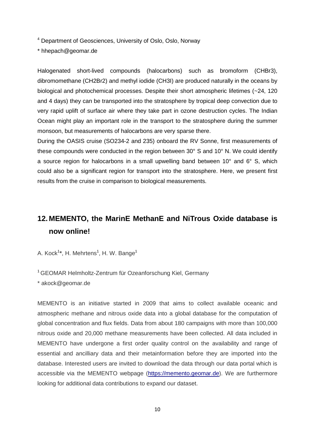<sup>4</sup> Department of Geosciences, University of Oslo, Oslo, Norway

\* hhepach@geomar.de

Halogenated short-lived compounds (halocarbons) such as bromoform (CHBr3), dibromomethane (CH2Br2) and methyl iodide (CH3I) are produced naturally in the oceans by biological and photochemical processes. Despite their short atmospheric lifetimes (~24, 120 and 4 days) they can be transported into the stratosphere by tropical deep convection due to very rapid uplift of surface air where they take part in ozone destruction cycles. The Indian Ocean might play an important role in the transport to the stratosphere during the summer monsoon, but measurements of halocarbons are very sparse there.

During the OASIS cruise (SO234-2 and 235) onboard the RV Sonne, first measurements of these compounds were conducted in the region between 30° S and 10° N. We could identify a source region for halocarbons in a small upwelling band between 10° and 6° S, which could also be a significant region for transport into the stratosphere. Here, we present first results from the cruise in comparison to biological measurements.

#### <span id="page-10-0"></span>**12. MEMENTO, the MarinE MethanE and NiTrous Oxide database is now online!**

A. Kock<sup>1\*</sup>, H. Mehrtens<sup>1</sup>, H. W. Bange<sup>1</sup>

1 GEOMAR Helmholtz-Zentrum für Ozeanforschung Kiel, Germany

\* akock@geomar.de

MEMENTO is an initiative started in 2009 that aims to collect available oceanic and atmospheric methane and nitrous oxide data into a global database for the computation of global concentration and flux fields. Data from about 180 campaigns with more than 100,000 nitrous oxide and 20,000 methane measurements have been collected. All data included in MEMENTO have undergone a first order quality control on the availability and range of essential and ancilliary data and their metainformation before they are imported into the database. Interested users are invited to download the data through our data portal which is accessible via the MEMENTO webpage [\(https://memento.geomar.de\)](https://memento.geomar.de/). We are furthermore looking for additional data contributions to expand our dataset.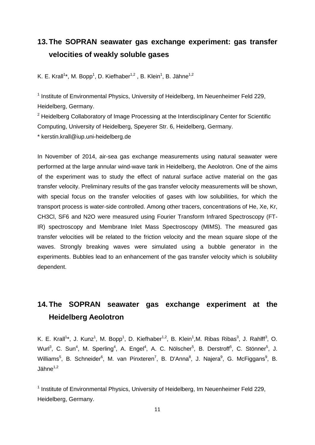#### <span id="page-11-0"></span>**13.The SOPRAN seawater gas exchange experiment: gas transfer velocities of weakly soluble gases**

K. E. Krall<sup>1\*</sup>, M. Bopp<sup>1</sup>, D. Kiefhaber<sup>1,2</sup>, B. Klein<sup>1</sup>, B. Jähne<sup>1,2</sup>

<sup>1</sup> Institute of Environmental Physics, University of Heidelberg, Im Neuenheimer Feld 229, Heidelberg, Germany.

 $2$  Heidelberg Collaboratory of Image Processing at the Interdisciplinary Center for Scientific Computing, University of Heidelberg, Speyerer Str. 6, Heidelberg, Germany.

\* kerstin.krall@iup.uni-heidelberg.de

In November of 2014, air-sea gas exchange measurements using natural seawater were performed at the large annular wind-wave tank in Heidelberg, the Aeolotron. One of the aims of the experiment was to study the effect of natural surface active material on the gas transfer velocity. Preliminary results of the gas transfer velocity measurements will be shown, with special focus on the transfer velocities of gases with low solubilities, for which the transport process is water-side controlled. Among other tracers, concentrations of He, Xe, Kr, CH3Cl, SF6 and N2O were measured using Fourier Transform Infrared Spectroscopy (FT-IR) spectroscopy and Membrane Inlet Mass Spectroscopy (MIMS). The measured gas transfer velocities will be related to the friction velocity and the mean square slope of the waves. Strongly breaking waves were simulated using a bubble generator in the experiments. Bubbles lead to an enhancement of the gas transfer velocity which is solubility dependent.

## <span id="page-11-1"></span>**14.The SOPRAN seawater gas exchange experiment at the Heidelberg Aeolotron**

K. E. Krall<sup>1\*</sup>, J. Kunz<sup>1</sup>, M. Bopp<sup>1</sup>, D. Kiefhaber<sup>1,2</sup>, B. Klein<sup>1</sup>,M. Ribas Ribas<sup>3</sup>, J. Rahlff<sup>3</sup>, O. Wurl<sup>3</sup>, C. Sun<sup>4</sup>, M. Sperling<sup>4</sup>, A. Engel<sup>4</sup>, A. C. Nölscher<sup>5</sup>, B. Derstroff<sup>5</sup>, C. Stönner<sup>5</sup>, J. Williams<sup>5</sup>, B. Schneider<sup>6</sup>, M. van Pinxteren<sup>7</sup>, B. D'Anna<sup>8</sup>, J. Najera<sup>9</sup>, G. McFiggans<sup>9</sup>, B.  $J\ddot{\text{a}}$ hne<sup>1,2</sup>

 $1$  Institute of Environmental Physics, University of Heidelberg, Im Neuenheimer Feld 229, Heidelberg, Germany.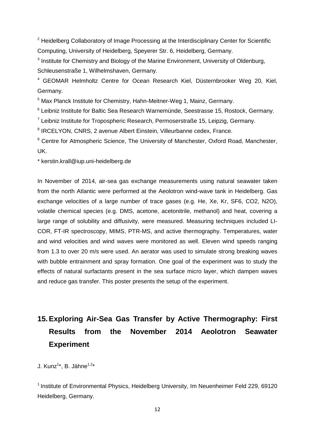<sup>2</sup> Heidelberg Collaboratory of Image Processing at the Interdisciplinary Center for Scientific Computing, University of Heidelberg, Speyerer Str. 6, Heidelberg, Germany.

 $3$  Institute for Chemistry and Biology of the Marine Environment, University of Oldenburg, Schleusenstraße 1, Wilhelmshaven, Germany.

<sup>4</sup> GEOMAR Helmholtz Centre for Ocean Research Kiel, Düsternbrooker Weg 20, Kiel, Germany.

<sup>5</sup> Max Planck Institute for Chemistry, Hahn-Meitner-Weg 1, Mainz, Germany.

<sup>6</sup> Leibniz Institute for Baltic Sea Research Warnemünde, Seestrasse 15, Rostock, Germany.

<sup>7</sup> Leibniz Institute for Tropospheric Research, Permoserstraße 15, Leipzig, Germany.

<sup>8</sup> IRCELYON, CNRS, 2 avenue Albert Einstein, Villeurbanne cedex, France.

<sup>9</sup> Centre for Atmospheric Science, The University of Manchester, Oxford Road, Manchester, UK.

\* kerstin.krall@iup.uni-heidelberg.de

In November of 2014, air-sea gas exchange measurements using natural seawater taken from the north Atlantic were performed at the Aeolotron wind-wave tank in Heidelberg. Gas exchange velocities of a large number of trace gases (e.g. He, Xe, Kr, SF6, CO2, N2O), volatile chemical species (e.g. DMS, acetone, acetonitrile, methanol) and heat, covering a large range of solubility and diffusivity, were measured. Measuring techniques included LI-COR, FT-IR spectroscopy, MIMS, PTR-MS, and active thermography. Temperatures, water and wind velocities and wind waves were monitored as well. Eleven wind speeds ranging from 1.3 to over 20 m/s were used. An aerator was used to simulate strong breaking waves with bubble entrainment and spray formation. One goal of the experiment was to study the effects of natural surfactants present in the sea surface micro layer, which dampen waves and reduce gas transfer. This poster presents the setup of the experiment.

## <span id="page-12-0"></span>**15.Exploring Air-Sea Gas Transfer by Active Thermography: First Results from the November 2014 Aeolotron Seawater Experiment**

J. Kunz<sup>1</sup>\*, B. Jähne<sup>1,2</sup>\*

<sup>1</sup> Institute of Environmental Physics, Heidelberg University, Im Neuenheimer Feld 229, 69120 Heidelberg, Germany.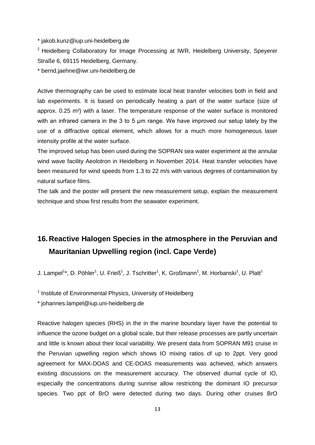\* jakob.kunz@iup.uni-heidelberg.de

<sup>2</sup> Heidelberg Collaboratory for Image Processing at IWR, Heidelberg University, Speyerer Straße 6, 69115 Heidelberg, Germany.

\* bernd.jaehne@iwr.uni-heidelberg.de

Active thermography can be used to estimate local heat transfer velocities both in field and lab experiments. It is based on periodically heating a part of the water surface (size of approx. 0.25 m²) with a laser. The temperature response of the water surface is monitored with an infrared camera in the 3 to 5 µm range. We have improved our setup lately by the use of a diffractive optical element, which allows for a much more homogeneous laser intensity profile at the water surface.

The improved setup has been used during the SOPRAN sea water experiment at the annular wind wave facility Aeolotron in Heidelberg in November 2014. Heat transfer velocities have been measured for wind speeds from 1.3 to 22 m/s with various degrees of contamination by natural surface films.

The talk and the poster will present the new measurement setup, explain the measurement technique and show first results from the seawater experiment.

#### <span id="page-13-0"></span>**16. Reactive Halogen Species in the atmosphere in the Peruvian and Mauritanian Upwelling region (incl. Cape Verde)**

J. Lampel<sup>1\*</sup>, D. Pöhler<sup>1</sup>, U. Frieß<sup>1</sup>, J. Tschritter<sup>1</sup>, K. Großmann<sup>1</sup>, M. Horbanski<sup>1</sup>, U. Platt<sup>1</sup>

<sup>1</sup> Institute of Environmental Physics, University of Heidelberg

\* johannes.lampel@iup.uni-heidelberg.de

Reactive halogen species (RHS) in the in the marine boundary layer have the potential to influence the ozone budget on a global scale, but their release processes are partly uncertain and little is known about their local variability. We present data from SOPRAN M91 cruise in the Peruvian upwelling region which shows IO mixing ratios of up to 2ppt. Very good agreement for MAX-DOAS and CE-DOAS measurements was achieved, which answers existing discussions on the measurement accuracy. The observed diurnal cycle of IO, especially the concentrations during sunrise allow restricting the dominant IO precursor species. Two ppt of BrO were detected during two days. During other cruises BrO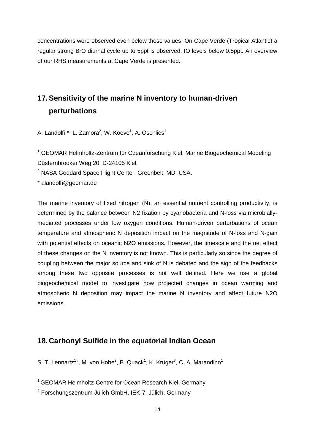concentrations were observed even below these values. On Cape Verde (Tropical Atlantic) a regular strong BrO diurnal cycle up to 5ppt is observed, IO levels below 0.5ppt. An overview of our RHS measurements at Cape Verde is presented.

## <span id="page-14-0"></span>**17.Sensitivity of the marine N inventory to human-driven perturbations**

A. Landolfi<sup>1\*</sup>, L. Zamora<sup>2</sup>, W. Koeve<sup>1</sup>, A. Oschlies<sup>1</sup>

<sup>1</sup> GEOMAR Helmholtz-Zentrum für Ozeanforschung Kiel, Marine Biogeochemical Modeling Düsternbrooker Weg 20, D-24105 Kiel,

<sup>2</sup> NASA Goddard Space Flight Center, Greenbelt, MD, USA.

\* alandolfi@geomar.de

The marine inventory of fixed nitrogen (N), an essential nutrient controlling productivity, is determined by the balance between N2 fixation by cyanobacteria and N-loss via microbiallymediated processes under low oxygen conditions. Human-driven perturbations of ocean temperature and atmospheric N deposition impact on the magnitude of N-loss and N-gain with potential effects on oceanic N2O emissions. However, the timescale and the net effect of these changes on the N inventory is not known. This is particularly so since the degree of coupling between the major source and sink of N is debated and the sign of the feedbacks among these two opposite processes is not well defined. Here we use a global biogeochemical model to investigate how projected changes in ocean warming and atmospheric N deposition may impact the marine N inventory and affect future N2O emissions.

#### <span id="page-14-1"></span>**18. Carbonyl Sulfide in the equatorial Indian Ocean**

S. T. Lennartz<sup>1\*</sup>, M. von Hobe<sup>2</sup>, B. Quack<sup>1</sup>, K. Krüger<sup>3</sup>, C. A. Marandino<sup>1</sup>

<sup>1</sup> GEOMAR Helmholtz-Centre for Ocean Research Kiel, Germany

<sup>2</sup> Forschungszentrum Jülich GmbH, IEK-7, Jülich, Germany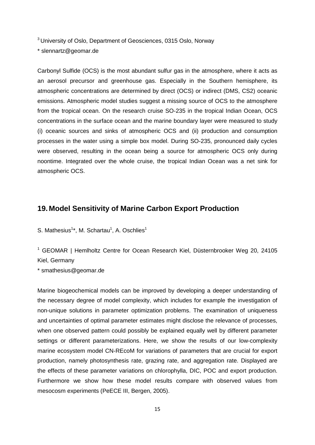<sup>3</sup> University of Oslo, Department of Geosciences, 0315 Oslo, Norway

\* slennartz@geomar.de

Carbonyl Sulfide (OCS) is the most abundant sulfur gas in the atmosphere, where it acts as an aerosol precursor and greenhouse gas. Especially in the Southern hemisphere, its atmospheric concentrations are determined by direct (OCS) or indirect (DMS, CS2) oceanic emissions. Atmospheric model studies suggest a missing source of OCS to the atmosphere from the tropical ocean. On the research cruise SO-235 in the tropical Indian Ocean, OCS concentrations in the surface ocean and the marine boundary layer were measured to study (i) oceanic sources and sinks of atmospheric OCS and (ii) production and consumption processes in the water using a simple box model. During SO-235, pronounced daily cycles were observed, resulting in the ocean being a source for atmospheric OCS only during noontime. Integrated over the whole cruise, the tropical Indian Ocean was a net sink for atmospheric OCS.

#### <span id="page-15-0"></span>**19. Model Sensitivity of Marine Carbon Export Production**

S. Mathesius<sup>1\*</sup>, M. Schartau<sup>1</sup>, A. Oschlies<sup>1</sup>

<sup>1</sup> GEOMAR | Hemlholtz Centre for Ocean Research Kiel, Düsternbrooker Weg 20, 24105 Kiel, Germany

\* smathesius@geomar.de

Marine biogeochemical models can be improved by developing a deeper understanding of the necessary degree of model complexity, which includes for example the investigation of non-unique solutions in parameter optimization problems. The examination of uniqueness and uncertainties of optimal parameter estimates might disclose the relevance of processes, when one observed pattern could possibly be explained equally well by different parameter settings or different parameterizations. Here, we show the results of our low-complexity marine ecosystem model CN-REcoM for variations of parameters that are crucial for export production, namely photosynthesis rate, grazing rate, and aggregation rate. Displayed are the effects of these parameter variations on chlorophylla, DIC, POC and export production. Furthermore we show how these model results compare with observed values from mesocosm experiments (PeECE III, Bergen, 2005).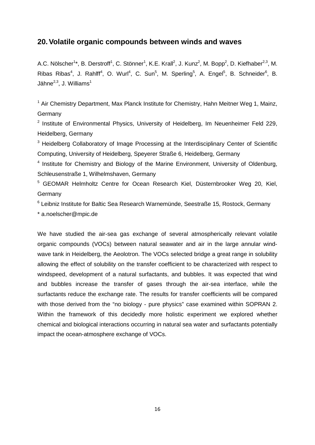#### <span id="page-16-0"></span>**20.Volatile organic compounds between winds and waves**

A.C. Nölscher<sup>1\*</sup>, B. Derstroff<sup>1</sup>, C. Stönner<sup>1</sup>, K.E. Krall<sup>2</sup>, J. Kunz<sup>2</sup>, M. Bopp<sup>2</sup>, D. Kiefhaber<sup>2,3</sup>, M. Ribas Ribas<sup>4</sup>, J. Rahlff<sup>4</sup>, O. Wurl<sup>4</sup>, C. Sun<sup>5</sup>, M. Sperling<sup>5</sup>, A. Engel<sup>5</sup>, B. Schneider<sup>6</sup>, B. Jähne<sup>2,3</sup>, J. Williams<sup>1</sup>

 $1$  Air Chemistry Department, Max Planck Institute for Chemistry, Hahn Meitner Weg 1, Mainz, **Germany** 

 $2$  Institute of Environmental Physics, University of Heidelberg, Im Neuenheimer Feld 229, Heidelberg, Germany

<sup>3</sup> Heidelberg Collaboratory of Image Processing at the Interdisciplinary Center of Scientific Computing, University of Heidelberg, Speyerer Straße 6, Heidelberg, Germany

<sup>4</sup> Institute for Chemistry and Biology of the Marine Environment, University of Oldenburg, Schleusenstraße 1, Wilhelmshaven, Germany

<sup>5</sup> GEOMAR Helmholtz Centre for Ocean Research Kiel, Düsternbrooker Weg 20, Kiel, **Germany** 

<sup>6</sup> Leibniz Institute for Baltic Sea Research Warnemünde, Seestraße 15, Rostock, Germany

\* a.noelscher@mpic.de

We have studied the air-sea gas exchange of several atmospherically relevant volatile organic compounds (VOCs) between natural seawater and air in the large annular windwave tank in Heidelberg, the Aeolotron. The VOCs selected bridge a great range in solubility allowing the effect of solubility on the transfer coefficient to be characterized with respect to windspeed, development of a natural surfactants, and bubbles. It was expected that wind and bubbles increase the transfer of gases through the air-sea interface, while the surfactants reduce the exchange rate. The results for transfer coefficients will be compared with those derived from the "no biology - pure physics" case examined within SOPRAN 2. Within the framework of this decidedly more holistic experiment we explored whether chemical and biological interactions occurring in natural sea water and surfactants potentially impact the ocean-atmosphere exchange of VOCs.

16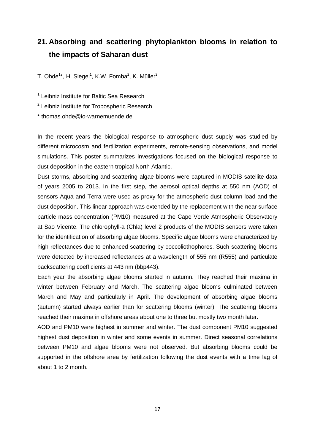#### <span id="page-17-0"></span>**21. Absorbing and scattering phytoplankton blooms in relation to the impacts of Saharan dust**

T. Ohde $^{1*}$ , H. Siegel $^{1}$ , K.W. Fomba $^{2}$ , K. Müller $^{2}$ 

<sup>1</sup> Leibniz Institute for Baltic Sea Research

<sup>2</sup> Leibniz Institute for Tropospheric Research

\* thomas.ohde@io-warnemuende.de

In the recent years the biological response to atmospheric dust supply was studied by different microcosm and fertilization experiments, remote-sensing observations, and model simulations. This poster summarizes investigations focused on the biological response to dust deposition in the eastern tropical North Atlantic.

Dust storms, absorbing and scattering algae blooms were captured in MODIS satellite data of years 2005 to 2013. In the first step, the aerosol optical depths at 550 nm (AOD) of sensors Aqua and Terra were used as proxy for the atmospheric dust column load and the dust deposition. This linear approach was extended by the replacement with the near surface particle mass concentration (PM10) measured at the Cape Verde Atmospheric Observatory at Sao Vicente. The chlorophyll-a (Chla) level 2 products of the MODIS sensors were taken for the identification of absorbing algae blooms. Specific algae blooms were characterized by high reflectances due to enhanced scattering by coccoliothophores. Such scattering blooms were detected by increased reflectances at a wavelength of 555 nm (R555) and particulate backscattering coefficients at 443 nm (bbp443).

Each year the absorbing algae blooms started in autumn. They reached their maxima in winter between February and March. The scattering algae blooms culminated between March and May and particularly in April. The development of absorbing algae blooms (autumn) started always earlier than for scattering blooms (winter). The scattering blooms reached their maxima in offshore areas about one to three but mostly two month later.

AOD and PM10 were highest in summer and winter. The dust component PM10 suggested highest dust deposition in winter and some events in summer. Direct seasonal correlations between PM10 and algae blooms were not observed. But absorbing blooms could be supported in the offshore area by fertilization following the dust events with a time lag of about 1 to 2 month.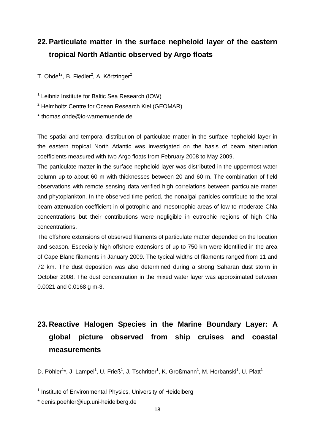### <span id="page-18-0"></span>**22.Particulate matter in the surface nepheloid layer of the eastern tropical North Atlantic observed by Argo floats**

T. Ohde<sup>1</sup>\*, B. Fiedler<sup>2</sup>, A. Körtzinger<sup>2</sup>

<sup>1</sup> Leibniz Institute for Baltic Sea Research (IOW)

<sup>2</sup> Helmholtz Centre for Ocean Research Kiel (GEOMAR)

\* thomas.ohde@io-warnemuende.de

The spatial and temporal distribution of particulate matter in the surface nepheloid layer in the eastern tropical North Atlantic was investigated on the basis of beam attenuation coefficients measured with two Argo floats from February 2008 to May 2009.

The particulate matter in the surface nepheloid layer was distributed in the uppermost water column up to about 60 m with thicknesses between 20 and 60 m. The combination of field observations with remote sensing data verified high correlations between particulate matter and phytoplankton. In the observed time period, the nonalgal particles contribute to the total beam attenuation coefficient in oligotrophic and mesotrophic areas of low to moderate Chla concentrations but their contributions were negligible in eutrophic regions of high Chla concentrations.

The offshore extensions of observed filaments of particulate matter depended on the location and season. Especially high offshore extensions of up to 750 km were identified in the area of Cape Blanc filaments in January 2009. The typical widths of filaments ranged from 11 and 72 km. The dust deposition was also determined during a strong Saharan dust storm in October 2008. The dust concentration in the mixed water layer was approximated between 0.0021 and 0.0168 g m-3.

## <span id="page-18-1"></span>**23. Reactive Halogen Species in the Marine Boundary Layer: A global picture observed from ship cruises and coastal measurements**

D. Pöhler<sup>1\*</sup>, J. Lampel<sup>1</sup>, U. Frieß<sup>1</sup>, J. Tschritter<sup>1</sup>, K. Großmann<sup>1</sup>, M. Horbanski<sup>1</sup>, U. Platt<sup>1</sup>

<sup>&</sup>lt;sup>1</sup> Institute of Environmental Physics, University of Heidelberg

<sup>\*</sup> denis.poehler@iup.uni-heidelberg.de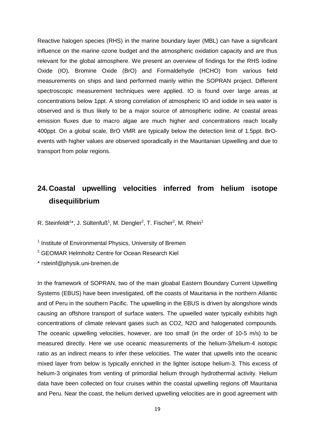Reactive halogen species (RHS) in the marine boundary layer (MBL) can have a significant influence on the marine ozone budget and the atmospheric oxidation capacity and are thus relevant for the global atmosphere. We present an overview of findings for the RHS Iodine Oxide (IO), Bromine Oxide (BrO) and Formaldehyde (HCHO) from various field measurements on ships and land performed mainly within the SOPRAN project. Different spectroscopic measurement techniques were applied. IO is found over large areas at concentrations below 1ppt. A strong correlation of atmospheric IO and iodide in sea water is observed and is thus likely to be a major source of atmospheric iodine. At coastal areas emission fluxes due to macro algae are much higher and concentrations reach locally 400ppt. On a global scale, BrO VMR are typically below the detection limit of 1.5ppt. BrOevents with higher values are observed sporadically in the Mauritanian Upwelling and due to transport from polar regions.

## <span id="page-19-0"></span>**24. Coastal upwelling velocities inferred from helium isotope disequilibrium**

R. Steinfeldt<sup>1\*</sup>, J. Sültenfuß<sup>1</sup>, M. Dengler<sup>2</sup>, T. Fischer<sup>2</sup>, M. Rhein<sup>1</sup>

<sup>1</sup> Institute of Environmental Physics, University of Bremen

<sup>2</sup> GEOMAR Helmholtz Centre for Ocean Research Kiel

\* rsteinf@physik.uni-bremen.de

In the framework of SOPRAN, two of the main gloabal Eastern Boundary Current Upwelling Systems (EBUS) have been investigated, off the coasts of Mauritania in the northern Atlantic and of Peru in the southern Pacific. The upwelling in the EBUS is driven by alongshore winds causing an offshore transport of surface waters. The upwelled water typically exhibits high concentrations of climate relevant gases such as CO2, N2O and halogenated compounds. The oceanic upwelling velocities, however, are too small (in the order of 10-5 m/s) to be measured directly. Here we use oceanic measurements of the helium-3/helium-4 isotopic ratio as an indirect means to infer these velocities. The water that upwells into the oceanic mixed layer from below is typically enriched in the lighter isotope helium-3. This excess of helium-3 originates from venting of primordial helium through hydrothermal activity. Helium data have been collected on four cruises within the coastal upwelling regions off Mauritania and Peru. Near the coast, the helium derived upwelling velocities are in good agreement with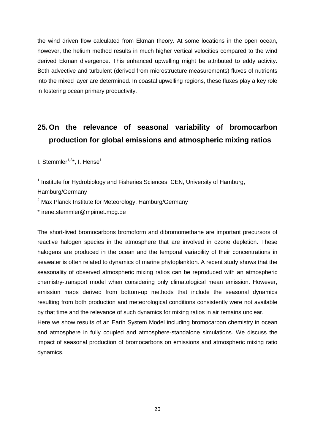the wind driven flow calculated from Ekman theory. At some locations in the open ocean, however, the helium method results in much higher vertical velocities compared to the wind derived Ekman divergence. This enhanced upwelling might be attributed to eddy activity. Both advective and turbulent (derived from microstructure measurements) fluxes of nutrients into the mixed layer are determined. In coastal upwelling regions, these fluxes play a key role in fostering ocean primary productivity.

## <span id="page-20-0"></span>**25.On the relevance of seasonal variability of bromocarbon production for global emissions and atmospheric mixing ratios**

I. Stemmler $1,2*$ , I. Hense $1$ 

<sup>1</sup> Institute for Hydrobiology and Fisheries Sciences, CEN, University of Hamburg,

Hamburg/Germany

 $2$  Max Planck Institute for Meteorology, Hamburg/Germany

\* irene.stemmler@mpimet.mpg.de

The short-lived bromocarbons bromoform and dibromomethane are important precursors of reactive halogen species in the atmosphere that are involved in ozone depletion. These halogens are produced in the ocean and the temporal variability of their concentrations in seawater is often related to dynamics of marine phytoplankton. A recent study shows that the seasonality of observed atmospheric mixing ratios can be reproduced with an atmospheric chemistry-transport model when considering only climatological mean emission. However, emission maps derived from bottom-up methods that include the seasonal dynamics resulting from both production and meteorological conditions consistently were not available by that time and the relevance of such dynamics for mixing ratios in air remains unclear. Here we show results of an Earth System Model including bromocarbon chemistry in ocean and atmosphere in fully coupled and atmosphere-standalone simulations. We discuss the

impact of seasonal production of bromocarbons on emissions and atmospheric mixing ratio dynamics.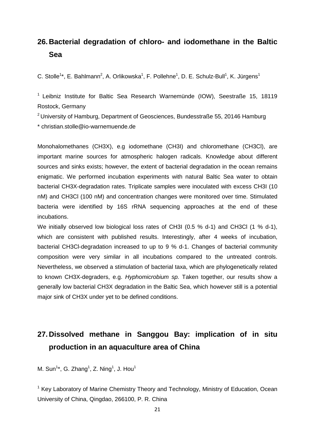#### <span id="page-21-0"></span>**26. Bacterial degradation of chloro- and iodomethane in the Baltic Sea**

C. Stolle<sup>1\*</sup>, E. Bahlmann<sup>2</sup>, A. Orlikowska<sup>1</sup>, F. Pollehne<sup>1</sup>, D. E. Schulz-Bull<sup>1</sup>, K. Jürgens<sup>1</sup>

 $1$  Leibniz Institute for Baltic Sea Research Warnemünde (IOW), Seestraße 15, 18119 Rostock, Germany

<sup>2</sup> University of Hamburg, Department of Geosciences, Bundesstraße 55, 20146 Hamburg \* christian.stolle@io-warnemuende.de

Monohalomethanes (CH3X), e.g iodomethane (CH3I) and chloromethane (CH3Cl), are important marine sources for atmospheric halogen radicals. Knowledge about different sources and sinks exists; however, the extent of bacterial degradation in the ocean remains enigmatic. We performed incubation experiments with natural Baltic Sea water to obtain bacterial CH3X-degradation rates. Triplicate samples were inoculated with excess CH3I (10 nM) and CH3Cl (100 nM) and concentration changes were monitored over time. Stimulated bacteria were identified by 16S rRNA sequencing approaches at the end of these incubations.

We initially observed low biological loss rates of CH3I (0.5 % d-1) and CH3Cl (1 % d-1), which are consistent with published results. Interestingly, after 4 weeks of incubation, bacterial CH3Cl-degradation increased to up to 9 % d-1. Changes of bacterial community composition were very similar in all incubations compared to the untreated controls. Nevertheless, we observed a stimulation of bacterial taxa, which are phylogenetically related to known CH3X-degraders, e.g. *Hyphomicrobium sp.* Taken together, our results show a generally low bacterial CH3X degradation in the Baltic Sea, which however still is a potential major sink of CH3X under yet to be defined conditions.

#### <span id="page-21-1"></span>**27. Dissolved methane in Sanggou Bay: implication of in situ production in an aquaculture area of China**

M. Sun<sup>1\*</sup>, G. Zhang<sup>1</sup>, Z. Ning<sup>1</sup>, J. Hou<sup>1</sup>

<sup>1</sup> Key Laboratory of Marine Chemistry Theory and Technology, Ministry of Education, Ocean University of China, Qingdao, 266100, P. R. China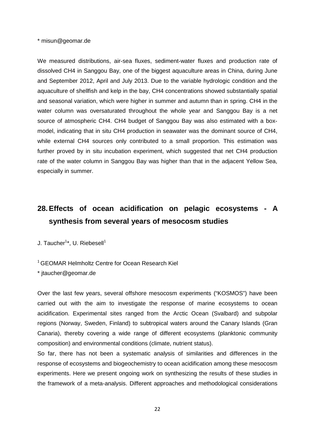\* misun@geomar.de

We measured distributions, air-sea fluxes, sediment-water fluxes and production rate of dissolved CH4 in Sanggou Bay, one of the biggest aquaculture areas in China, during June and September 2012, April and July 2013. Due to the variable hydrologic condition and the aquaculture of shellfish and kelp in the bay, CH4 concentrations showed substantially spatial and seasonal variation, which were higher in summer and autumn than in spring. CH4 in the water column was oversaturated throughout the whole year and Sanggou Bay is a net source of atmospheric CH4. CH4 budget of Sanggou Bay was also estimated with a boxmodel, indicating that in situ CH4 production in seawater was the dominant source of CH4, while external CH4 sources only contributed to a small proportion. This estimation was further proved by in situ incubation experiment, which suggested that net CH4 production rate of the water column in Sanggou Bay was higher than that in the adjacent Yellow Sea, especially in summer.

## <span id="page-22-0"></span>**28.Effects of ocean acidification on pelagic ecosystems - A synthesis from several years of mesocosm studies**

J. Taucher<sup>1</sup>\*, U. Riebesell<sup>1</sup>

#### <sup>1</sup> GEOMAR Helmholtz Centre for Ocean Research Kiel

\* jtaucher@geomar.de

Over the last few years, several offshore mesocosm experiments ("KOSMOS") have been carried out with the aim to investigate the response of marine ecosystems to ocean acidification. Experimental sites ranged from the Arctic Ocean (Svalbard) and subpolar regions (Norway, Sweden, Finland) to subtropical waters around the Canary Islands (Gran Canaria), thereby covering a wide range of different ecosystems (planktonic community composition) and environmental conditions (climate, nutrient status).

So far, there has not been a systematic analysis of similarities and differences in the response of ecosystems and biogeochemistry to ocean acidification among these mesocosm experiments. Here we present ongoing work on synthesizing the results of these studies in the framework of a meta-analysis. Different approaches and methodological considerations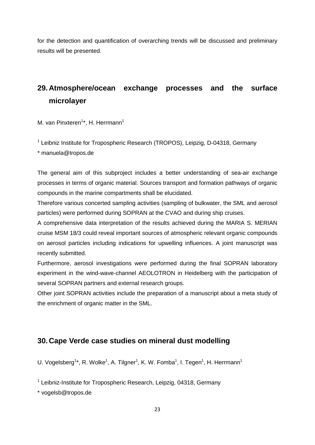for the detection and quantification of overarching trends will be discussed and preliminary results will be presented.

### <span id="page-23-0"></span>**29. Atmosphere/ocean exchange processes and the surface microlayer**

M. van Pinxteren<sup>1\*</sup>, H. Herrmann<sup>1</sup>

<sup>1</sup> Leibniz Institute for Tropospheric Research (TROPOS), Leipzig, D-04318, Germany

\* manuela@tropos.de

The general aim of this subproject includes a better understanding of sea-air exchange processes in terms of organic material. Sources transport and formation pathways of organic compounds in the marine compartments shall be elucidated.

Therefore various concerted sampling activities (sampling of bulkwater, the SML and aerosol particles) were performed during SOPRAN at the CVAO and during ship cruises.

A comprehensive data interpretation of the results achieved during the MARIA S. MERIAN cruise MSM 18/3 could reveal important sources of atmospheric relevant organic compounds on aerosol particles including indications for upwelling influences. A joint manuscript was recently submitted.

Furthermore, aerosol investigations were performed during the final SOPRAN laboratory experiment in the wind-wave-channel AEOLOTRON in Heidelberg with the participation of several SOPRAN partners and external research groups.

Other joint SOPRAN activities include the preparation of a manuscript about a meta study of the enrichment of organic matter in the SML.

#### <span id="page-23-1"></span>**30. Cape Verde case studies on mineral dust modelling**

U. Vogelsberg<sup>1\*</sup>, R. Wolke<sup>1</sup>, A. Tilgner<sup>1</sup>, K. W. Fomba<sup>1</sup>, I. Tegen<sup>1</sup>, H. Herrmann<sup>1</sup>

<sup>1</sup> Leibniz-Institute for Tropospheric Research, Leipzig, 04318, Germany

\* vogelsb@tropos.de